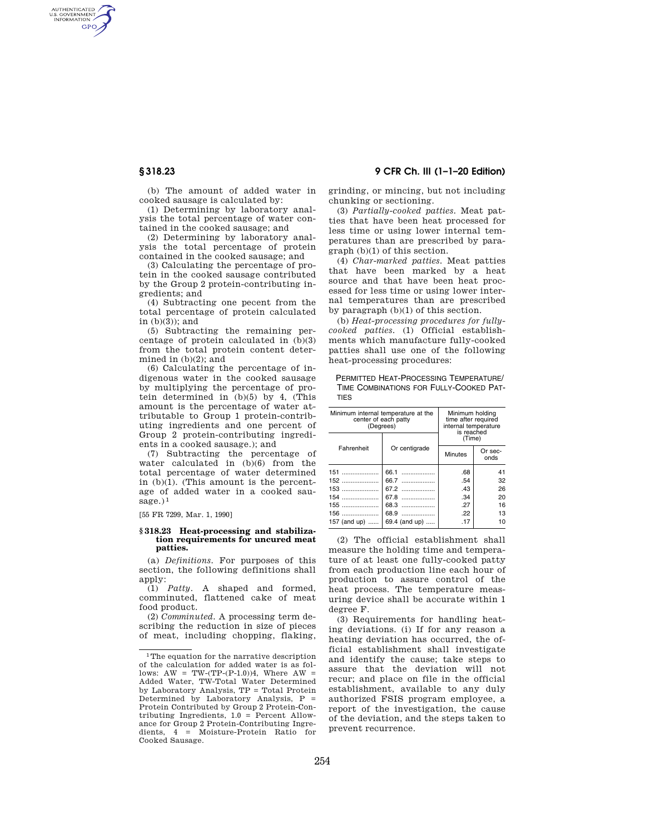AUTHENTICATED<br>U.S. GOVERNMENT<br>INFORMATION GPO

> (b) The amount of added water in cooked sausage is calculated by:

(1) Determining by laboratory analysis the total percentage of water contained in the cooked sausage; and

(2) Determining by laboratory analysis the total percentage of protein contained in the cooked sausage; and

(3) Calculating the percentage of protein in the cooked sausage contributed by the Group 2 protein-contributing ingredients; and

(4) Subtracting one pecent from the total percentage of protein calculated in  $(b)(3)$ ; and

(5) Subtracting the remaining percentage of protein calculated in (b)(3) from the total protein content determined in (b)(2); and

(6) Calculating the percentage of indigenous water in the cooked sausage by multiplying the percentage of protein determined in (b)(5) by 4, (This amount is the percentage of water attributable to Group 1 protein-contributing ingredients and one percent of Group 2 protein-contributing ingredients in a cooked sausage.); and

(7) Subtracting the percentage of water calculated in (b)(6) from the total percentage of water determined in (b)(1). (This amount is the percentage of added water in a cooked sausage. $)^1$ 

[55 FR 7299, Mar. 1, 1990]

## **§ 318.23 Heat-processing and stabilization requirements for uncured meat patties.**

(a) *Definitions.* For purposes of this section, the following definitions shall apply:

(1) *Patty.* A shaped and formed, comminuted, flattened cake of meat food product.

(2) *Comminuted.* A processing term describing the reduction in size of pieces of meat, including chopping, flaking,

**§ 318.23 9 CFR Ch. III (1–1–20 Edition)** 

grinding, or mincing, but not including chunking or sectioning.

(3) *Partially-cooked patties.* Meat patties that have been heat processed for less time or using lower internal temperatures than are prescribed by paragraph (b)(1) of this section.

(4) *Char-marked patties.* Meat patties that have been marked by a heat source and that have been heat processed for less time or using lower internal temperatures than are prescribed by paragraph (b)(1) of this section.

(b) *Heat-processing procedures for fullycooked patties.* (1) Official establishments which manufacture fully-cooked patties shall use one of the following heat-processing procedures:

PERMITTED HEAT-PROCESSING TEMPERATURE/ TIME COMBINATIONS FOR FULLY-COOKED PAT-TIES

| Minimum internal temperature at the<br>center of each patty<br>(Degrees) |               | Minimum holding<br>time after required<br>internal temperature<br>is reached |                 |
|--------------------------------------------------------------------------|---------------|------------------------------------------------------------------------------|-----------------|
| Fahrenheit                                                               | Or centigrade | (Time)                                                                       |                 |
|                                                                          |               | Minutes                                                                      | Or sec-<br>onds |
| 151                                                                      | 66.1          | .68                                                                          | 41              |
| $152$                                                                    | 66.7          | .54                                                                          | 32              |
| 153                                                                      | 67.2          | .43                                                                          | 26              |
| $154$                                                                    | 67.8          | .34                                                                          | 20              |
| 155                                                                      | 68.3          | .27                                                                          | 16              |
| 156                                                                      | 68.9          | .22                                                                          | 13              |
| 157 (and up)                                                             | 69.4 (and up) | .17                                                                          | 10              |

(2) The official establishment shall measure the holding time and temperature of at least one fully-cooked patty from each production line each hour of production to assure control of the heat process. The temperature measuring device shall be accurate within 1 degree F.

(3) Requirements for handling heating deviations. (i) If for any reason a heating deviation has occurred, the official establishment shall investigate and identify the cause; take steps to assure that the deviation will not recur; and place on file in the official establishment, available to any duly authorized FSIS program employee, a report of the investigation, the cause of the deviation, and the steps taken to prevent recurrence.

<sup>1</sup>The equation for the narrative description of the calculation for added water is as follows:  $AW = TW-(TP-(P-1.0))4$ , Where  $AW =$ Added Water, TW-Total Water Determined by Laboratory Analysis, TP = Total Protein Determined by Laboratory Analysis, P = Protein Contributed by Group 2 Protein-Contributing Ingredients, 1.0 = Percent Allowance for Group 2 Protein-Contributing Ingredients, 4 = Moisture-Protein Ratio for Cooked Sausage.